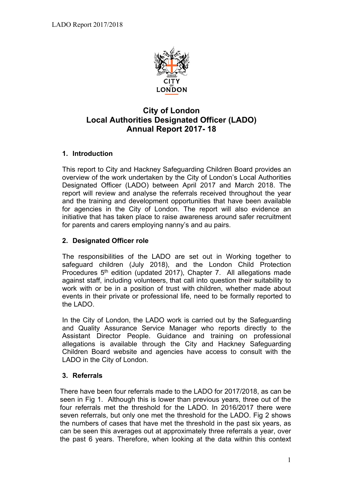

# **City of London Local Authorities Designated Officer (LADO) Annual Report 2017- 18**

### **1. Introduction**

This report to City and Hackney Safeguarding Children Board provides an overview of the work undertaken by the City of London's Local Authorities Designated Officer (LADO) between April 2017 and March 2018. The report will review and analyse the referrals received throughout the year and the training and development opportunities that have been available for agencies in the City of London. The report will also evidence an initiative that has taken place to raise awareness around safer recruitment for parents and carers employing nanny's and au pairs.

### **2. Designated Officer role**

The responsibilities of the LADO are set out in Working together to safeguard children (July 2018), and the London Child Protection Procedures 5<sup>th</sup> edition (updated 2017), Chapter 7. All allegations made against staff, including volunteers, that call into question their suitability to work with or be in a position of trust with children, whether made about events in their private or professional life, need to be formally reported to the LADO.

In the City of London, the LADO work is carried out by the Safeguarding and Quality Assurance Service Manager who reports directly to the Assistant Director People. Guidance and training on professional allegations is available through the City and Hackney Safeguarding Children Board website and agencies have access to consult with the LADO in the City of London.

### **3. Referrals**

There have been four referrals made to the LADO for 2017/2018, as can be seen in Fig 1. Although this is lower than previous years, three out of the four referrals met the threshold for the LADO. In 2016/2017 there were seven referrals, but only one met the threshold for the LADO. Fig 2 shows the numbers of cases that have met the threshold in the past six years, as can be seen this averages out at approximately three referrals a year, over the past 6 years. Therefore, when looking at the data within this context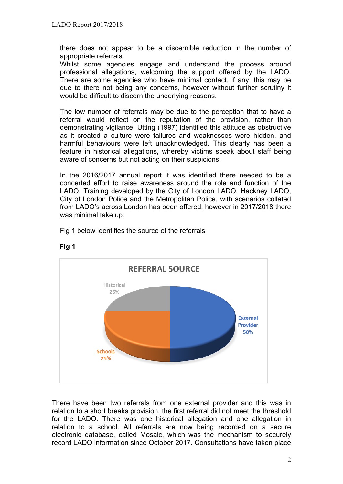there does not appear to be a discernible reduction in the number of appropriate referrals.

Whilst some agencies engage and understand the process around professional allegations, welcoming the support offered by the LADO. There are some agencies who have minimal contact, if any, this may be due to there not being any concerns, however without further scrutiny it would be difficult to discern the underlying reasons.

The low number of referrals may be due to the perception that to have a referral would reflect on the reputation of the provision, rather than demonstrating vigilance. Utting (1997) identified this attitude as obstructive as it created a culture were failures and weaknesses were hidden, and harmful behaviours were left unacknowledged. This clearly has been a feature in historical allegations, whereby victims speak about staff being aware of concerns but not acting on their suspicions.

In the 2016/2017 annual report it was identified there needed to be a concerted effort to raise awareness around the role and function of the LADO. Training developed by the City of London LADO, Hackney LADO, City of London Police and the Metropolitan Police, with scenarios collated from LADO's across London has been offered, however in 2017/2018 there was minimal take up.

Fig 1 below identifies the source of the referrals





There have been two referrals from one external provider and this was in relation to a short breaks provision, the first referral did not meet the threshold for the LADO. There was one historical allegation and one allegation in relation to a school. All referrals are now being recorded on a secure electronic database, called Mosaic, which was the mechanism to securely record LADO information since October 2017. Consultations have taken place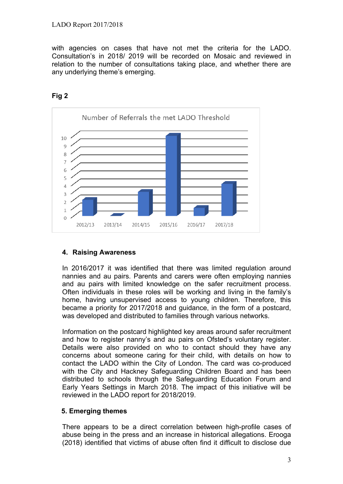with agencies on cases that have not met the criteria for the LADO. Consultation's in 2018/ 2019 will be recorded on Mosaic and reviewed in relation to the number of consultations taking place, and whether there are any underlying theme's emerging.



**Fig 2**

## **4. Raising Awareness**

In 2016/2017 it was identified that there was limited regulation around nannies and au pairs. Parents and carers were often employing nannies and au pairs with limited knowledge on the safer recruitment process. Often individuals in these roles will be working and living in the family's home, having unsupervised access to young children. Therefore, this became a priority for 2017/2018 and guidance, in the form of a postcard, was developed and distributed to families through various networks.

Information on the postcard highlighted key areas around safer recruitment and how to register nanny's and au pairs on Ofsted's voluntary register. Details were also provided on who to contact should they have any concerns about someone caring for their child, with details on how to contact the LADO within the City of London. The card was co-produced with the City and Hackney Safeguarding Children Board and has been distributed to schools through the Safeguarding Education Forum and Early Years Settings in March 2018. The impact of this initiative will be reviewed in the LADO report for 2018/2019.

## **5. Emerging themes**

There appears to be a direct correlation between high-profile cases of abuse being in the press and an increase in historical allegations. Erooga (2018) identified that victims of abuse often find it difficult to disclose due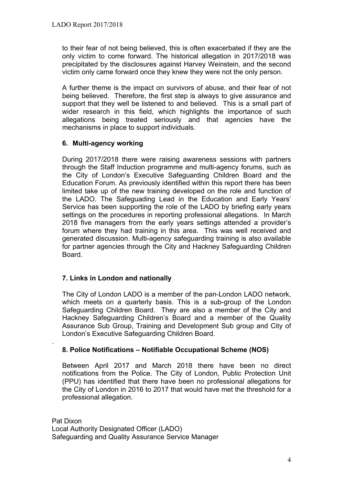to their fear of not being believed, this is often exacerbated if they are the only victim to come forward. The historical allegation in 2017/2018 was precipitated by the disclosures against Harvey Weinstein, and the second victim only came forward once they knew they were not the only person.

A further theme is the impact on survivors of abuse, and their fear of not being believed. Therefore, the first step is always to give assurance and support that they well be listened to and believed. This is a small part of wider research in this field, which highlights the importance of such allegations being treated seriously and that agencies have the mechanisms in place to support individuals.

### **6. Multi-agency working**

During 2017/2018 there were raising awareness sessions with partners through the Staff Induction programme and multi-agency forums, such as the City of London's Executive Safeguarding Children Board and the Education Forum. As previously identified within this report there has been limited take up of the new training developed on the role and function of the LADO. The Safeguading Lead in the Education and Early Years' Service has been supporting the role of the LADO by briefing early years settings on the procedures in reporting professional allegations. In March 2018 five managers from the early years settings attended a provider's forum where they had training in this area. This was well received and generated discussion. Multi-agency safeguarding training is also available for partner agencies through the City and Hackney Safeguarding Children Board.

### **7. Links in London and nationally**

.

The City of London LADO is a member of the pan-London LADO network, which meets on a quarterly basis. This is a sub-group of the London Safeguarding Children Board. They are also a member of the City and Hackney Safeguarding Children's Board and a member of the Quality Assurance Sub Group, Training and Development Sub group and City of London's Executive Safeguarding Children Board.

### **8. Police Notifications – Notifiable Occupational Scheme (NOS)**

Between April 2017 and March 2018 there have been no direct notifications from the Police. The City of London, Public Protection Unit (PPU) has identified that there have been no professional allegations for the City of London in 2016 to 2017 that would have met the threshold for a professional allegation.

Pat Dixon Local Authority Designated Officer (LADO) Safeguarding and Quality Assurance Service Manager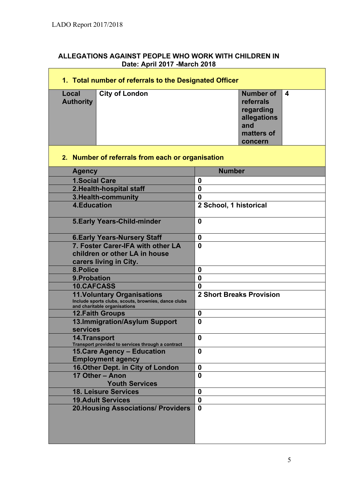| ALLEGATIONS AGAINST PEOPLE WHO WORK WITH CHILDREN IN |
|------------------------------------------------------|
| Date: April 2017 - March 2018                        |

| 1. Total number of referrals to the Designated Officer                                                                    |                                                                                                                         |                                 |  |  |
|---------------------------------------------------------------------------------------------------------------------------|-------------------------------------------------------------------------------------------------------------------------|---------------------------------|--|--|
| Local<br><b>Authority</b>                                                                                                 | <b>Number of</b><br><b>City of London</b><br>4<br>referrals<br>regarding<br>allegations<br>and<br>matters of<br>concern |                                 |  |  |
| 2. Number of referrals from each or organisation                                                                          |                                                                                                                         |                                 |  |  |
| <b>Agency</b>                                                                                                             |                                                                                                                         | <b>Number</b>                   |  |  |
| <b>1.Social Care</b>                                                                                                      |                                                                                                                         | 0                               |  |  |
| 2. Health-hospital staff                                                                                                  |                                                                                                                         | $\bf{0}$                        |  |  |
| 3. Health-community                                                                                                       |                                                                                                                         | $\bf{0}$                        |  |  |
| <b>4.Education</b>                                                                                                        | 2 School, 1 historical                                                                                                  |                                 |  |  |
| <b>5. Early Years-Child-minder</b>                                                                                        | $\bf{0}$                                                                                                                |                                 |  |  |
|                                                                                                                           | <b>6. Early Years-Nursery Staff</b>                                                                                     | $\boldsymbol{0}$                |  |  |
| 7. Foster Carer-IFA with other LA<br>children or other LA in house<br>carers living in City.                              | $\bf{0}$                                                                                                                |                                 |  |  |
| 8.Police                                                                                                                  |                                                                                                                         | $\bf{0}$                        |  |  |
| 9. Probation                                                                                                              |                                                                                                                         | $\bf{0}$                        |  |  |
| <b>10.CAFCASS</b>                                                                                                         |                                                                                                                         | $\bf{0}$                        |  |  |
| <b>11. Voluntary Organisations</b><br>Include sports clubs, scouts, brownies, dance clubs<br>and charitable organisations |                                                                                                                         | <b>2 Short Breaks Provision</b> |  |  |
| <b>12. Faith Groups</b>                                                                                                   |                                                                                                                         | $\bf{0}$                        |  |  |
| 13.Immigration/Asylum Support<br><b>services</b>                                                                          | $\bf{0}$                                                                                                                |                                 |  |  |
| <b>14.Transport</b><br>Transport provided to services through a contract                                                  |                                                                                                                         | 0                               |  |  |
| <b>15. Care Agency - Education</b><br><b>Employment agency</b>                                                            |                                                                                                                         | $\boldsymbol{0}$                |  |  |
| 16. Other Dept. in City of London                                                                                         | $\boldsymbol{0}$                                                                                                        |                                 |  |  |
| 17 Other - Anon<br><b>Youth Services</b>                                                                                  |                                                                                                                         | $\bf{0}$                        |  |  |
| <b>18. Leisure Services</b>                                                                                               |                                                                                                                         | $\bf{0}$                        |  |  |
| <b>19.Adult Services</b>                                                                                                  |                                                                                                                         | $\boldsymbol{0}$                |  |  |
|                                                                                                                           | <b>20. Housing Associations/ Providers</b>                                                                              | $\mathbf 0$                     |  |  |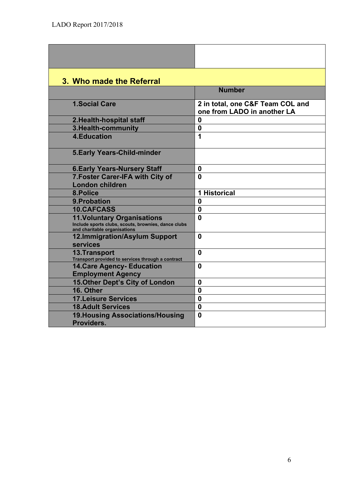| 3. Who made the Referral                                                                                                  |                                                                 |
|---------------------------------------------------------------------------------------------------------------------------|-----------------------------------------------------------------|
|                                                                                                                           | <b>Number</b>                                                   |
| <b>1.Social Care</b>                                                                                                      | 2 in total, one C&F Team COL and<br>one from LADO in another LA |
| 2. Health-hospital staff                                                                                                  | $\mathbf 0$                                                     |
| 3. Health-community                                                                                                       | $\boldsymbol{0}$                                                |
| <b>4.Education</b>                                                                                                        | 1                                                               |
| <b>5.Early Years-Child-minder</b>                                                                                         |                                                                 |
| <b>6. Early Years-Nursery Staff</b>                                                                                       | $\mathbf 0$                                                     |
| 7. Foster Carer-IFA with City of                                                                                          | $\mathbf{0}$                                                    |
| <b>London children</b>                                                                                                    |                                                                 |
| 8.Police                                                                                                                  | <b>1 Historical</b>                                             |
| 9. Probation                                                                                                              | $\bf{0}$                                                        |
| <b>10.CAFCASS</b>                                                                                                         | $\bf{0}$                                                        |
| <b>11. Voluntary Organisations</b><br>Include sports clubs, scouts, brownies, dance clubs<br>and charitable organisations | $\mathbf 0$                                                     |
| 12.Immigration/Asylum Support<br>services                                                                                 | $\mathbf{0}$                                                    |
| <b>13.Transport</b><br>Transport provided to services through a contract                                                  | $\mathbf 0$                                                     |
| <b>14. Care Agency- Education</b><br><b>Employment Agency</b>                                                             | $\bf{0}$                                                        |
| <b>15. Other Dept's City of London</b>                                                                                    | $\bf{0}$                                                        |
| 16. Other                                                                                                                 | $\bf{0}$                                                        |
| <b>17.Leisure Services</b>                                                                                                | $\bf{0}$                                                        |
| <b>18.Adult Services</b>                                                                                                  | $\mathbf 0$                                                     |
| <b>19. Housing Associations/Housing</b><br>Providers.                                                                     | $\bf{0}$                                                        |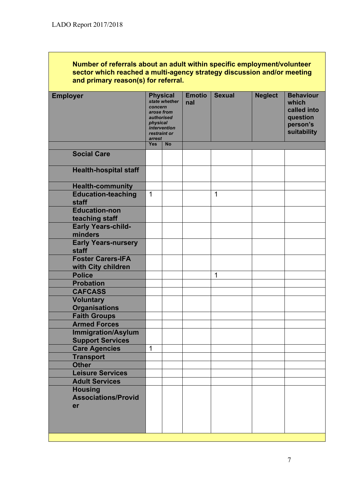#### **Number of referrals about an adult within specific employment/volunteer sector which reached a multi-agency strategy discussion and/or meeting and primary reason(s) for referral.**

| <b>Employer</b>                                      | <b>Physical</b><br>state whether<br>concern<br>arose from<br>authorised<br>physical<br>intervention<br>restraint or<br>arrest |           | <b>Emotio</b><br>nal | <b>Sexual</b> | <b>Neglect</b> | <b>Behaviour</b><br>which<br>called into<br>question<br>person's<br>suitability |
|------------------------------------------------------|-------------------------------------------------------------------------------------------------------------------------------|-----------|----------------------|---------------|----------------|---------------------------------------------------------------------------------|
|                                                      | <b>Yes</b>                                                                                                                    | <b>No</b> |                      |               |                |                                                                                 |
| <b>Social Care</b>                                   |                                                                                                                               |           |                      |               |                |                                                                                 |
| <b>Health-hospital staff</b>                         |                                                                                                                               |           |                      |               |                |                                                                                 |
| <b>Health-community</b>                              |                                                                                                                               |           |                      |               |                |                                                                                 |
| <b>Education-teaching</b><br>staff                   | $\mathbf{1}$                                                                                                                  |           |                      | 1             |                |                                                                                 |
| <b>Education-non</b><br>teaching staff               |                                                                                                                               |           |                      |               |                |                                                                                 |
| <b>Early Years-child-</b><br>minders                 |                                                                                                                               |           |                      |               |                |                                                                                 |
| <b>Early Years-nursery</b><br>staff                  |                                                                                                                               |           |                      |               |                |                                                                                 |
| <b>Foster Carers-IFA</b><br>with City children       |                                                                                                                               |           |                      |               |                |                                                                                 |
| <b>Police</b>                                        |                                                                                                                               |           |                      | 1             |                |                                                                                 |
| <b>Probation</b>                                     |                                                                                                                               |           |                      |               |                |                                                                                 |
| <b>CAFCASS</b>                                       |                                                                                                                               |           |                      |               |                |                                                                                 |
| <b>Voluntary</b><br><b>Organisations</b>             |                                                                                                                               |           |                      |               |                |                                                                                 |
| <b>Faith Groups</b>                                  |                                                                                                                               |           |                      |               |                |                                                                                 |
| <b>Armed Forces</b>                                  |                                                                                                                               |           |                      |               |                |                                                                                 |
| <b>Immigration/Asylum</b><br><b>Support Services</b> |                                                                                                                               |           |                      |               |                |                                                                                 |
| <b>Care Agencies</b>                                 | $\mathbf 1$                                                                                                                   |           |                      |               |                |                                                                                 |
| <b>Transport</b>                                     |                                                                                                                               |           |                      |               |                |                                                                                 |
| <b>Other</b>                                         |                                                                                                                               |           |                      |               |                |                                                                                 |
| <b>Leisure Services</b>                              |                                                                                                                               |           |                      |               |                |                                                                                 |
| <b>Adult Services</b>                                |                                                                                                                               |           |                      |               |                |                                                                                 |
| <b>Housing</b><br><b>Associations/Provid</b>         |                                                                                                                               |           |                      |               |                |                                                                                 |
| er                                                   |                                                                                                                               |           |                      |               |                |                                                                                 |
|                                                      |                                                                                                                               |           |                      |               |                |                                                                                 |
|                                                      |                                                                                                                               |           |                      |               |                |                                                                                 |
|                                                      |                                                                                                                               |           |                      |               |                |                                                                                 |
|                                                      |                                                                                                                               |           |                      |               |                |                                                                                 |